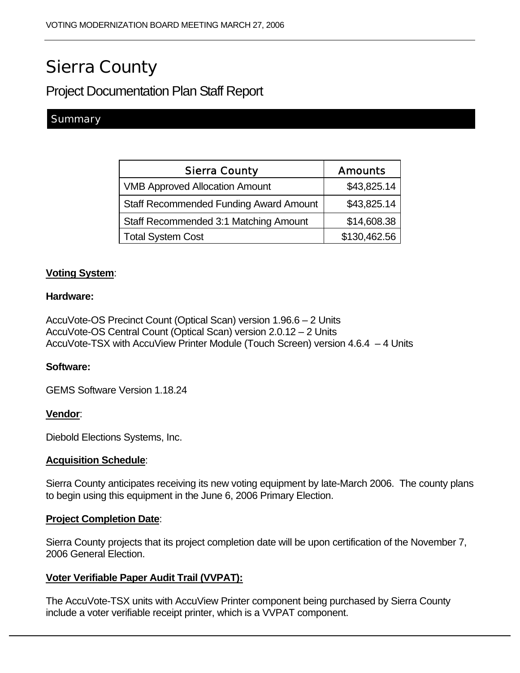# Sierra County

# Project Documentation Plan Staff Report

# **Summary**

| <b>Sierra County</b>                          | <b>Amounts</b> |
|-----------------------------------------------|----------------|
| <b>VMB Approved Allocation Amount</b>         | \$43,825.14    |
| <b>Staff Recommended Funding Award Amount</b> | \$43,825.14    |
| Staff Recommended 3:1 Matching Amount         | \$14,608.38    |
| <b>Total System Cost</b>                      | \$130,462.56   |

# **Voting System**:

#### **Hardware:**

AccuVote-OS Precinct Count (Optical Scan) version 1.96.6 – 2 Units AccuVote-OS Central Count (Optical Scan) version 2.0.12 – 2 Units AccuVote-TSX with AccuView Printer Module (Touch Screen) version 4.6.4 – 4 Units

# **Software:**

GEMS Software Version 1.18.24

#### **Vendor**:

Diebold Elections Systems, Inc.

# **Acquisition Schedule**:

Sierra County anticipates receiving its new voting equipment by late-March 2006. The county plans to begin using this equipment in the June 6, 2006 Primary Election.

#### **Project Completion Date**:

Sierra County projects that its project completion date will be upon certification of the November 7, 2006 General Election.

# **Voter Verifiable Paper Audit Trail (VVPAT):**

The AccuVote-TSX units with AccuView Printer component being purchased by Sierra County include a voter verifiable receipt printer, which is a VVPAT component.